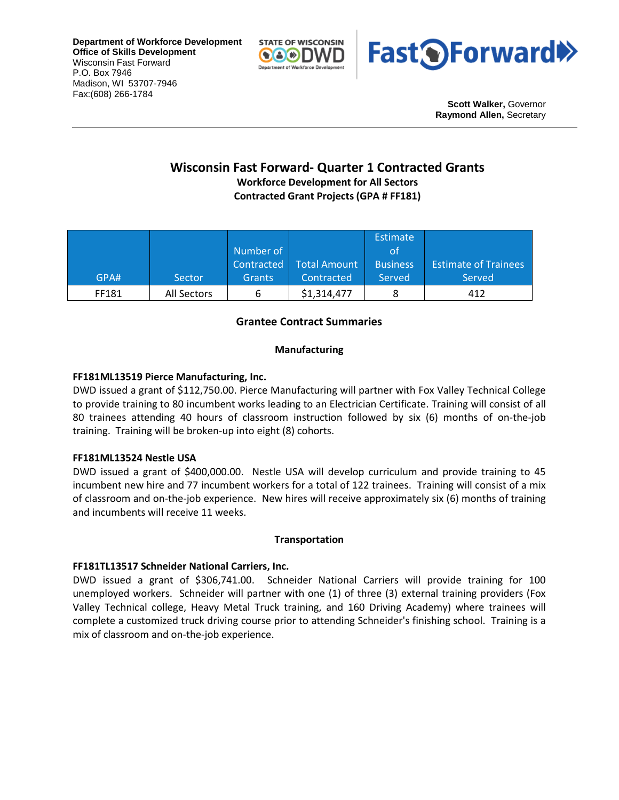**Department of Workforce Development Office of Skills Development** Wisconsin Fast Forward P.O. Box 7946 Madison, WI 53707-7946 Fax:(608) 266-1784





**Scott Walker,** Governor **Raymond Allen,** Secretary

# **Wisconsin Fast Forward- Quarter 1 Contracted Grants Workforce Development for All Sectors**

**Contracted Grant Projects (GPA # FF181)**

|       |             |               |              | Estimate        |                             |
|-------|-------------|---------------|--------------|-----------------|-----------------------------|
|       |             | Number of     |              | οt              |                             |
|       |             | Contracted    | Total Amount | <b>Business</b> | <b>Estimate of Trainees</b> |
| GPA#  | Sector      | <b>Grants</b> | Contracted   | Served          | Served                      |
| FF181 | All Sectors | ь             | \$1,314,477  |                 | 412                         |

# **Grantee Contract Summaries**

# **Manufacturing**

# **FF181ML13519 Pierce Manufacturing, Inc.**

DWD issued a grant of \$112,750.00. Pierce Manufacturing will partner with Fox Valley Technical College to provide training to 80 incumbent works leading to an Electrician Certificate. Training will consist of all 80 trainees attending 40 hours of classroom instruction followed by six (6) months of on-the-job training. Training will be broken-up into eight (8) cohorts.

# **FF181ML13524 Nestle USA**

DWD issued a grant of \$400,000.00. Nestle USA will develop curriculum and provide training to 45 incumbent new hire and 77 incumbent workers for a total of 122 trainees. Training will consist of a mix of classroom and on-the-job experience. New hires will receive approximately six (6) months of training and incumbents will receive 11 weeks.

# **Transportation**

# **FF181TL13517 Schneider National Carriers, Inc.**

DWD issued a grant of \$306,741.00. Schneider National Carriers will provide training for 100 unemployed workers. Schneider will partner with one (1) of three (3) external training providers (Fox Valley Technical college, Heavy Metal Truck training, and 160 Driving Academy) where trainees will complete a customized truck driving course prior to attending Schneider's finishing school. Training is a mix of classroom and on-the-job experience.